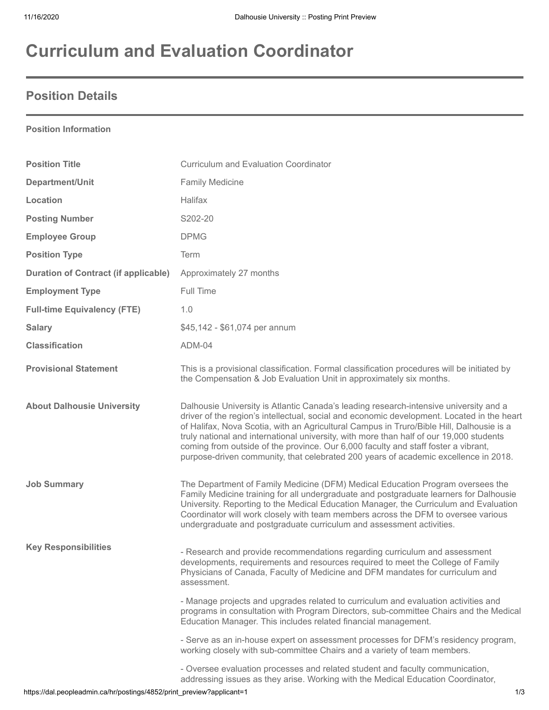# **Curriculum and Evaluation Coordinator**

### **Position Details**

#### **Position Information**

| <b>Position Title</b>                       | <b>Curriculum and Evaluation Coordinator</b>                                                                                                                                                                                                                                                                                                                                                                                                                                                                                                            |
|---------------------------------------------|---------------------------------------------------------------------------------------------------------------------------------------------------------------------------------------------------------------------------------------------------------------------------------------------------------------------------------------------------------------------------------------------------------------------------------------------------------------------------------------------------------------------------------------------------------|
| Department/Unit                             | <b>Family Medicine</b>                                                                                                                                                                                                                                                                                                                                                                                                                                                                                                                                  |
| Location                                    | Halifax                                                                                                                                                                                                                                                                                                                                                                                                                                                                                                                                                 |
| <b>Posting Number</b>                       | S202-20                                                                                                                                                                                                                                                                                                                                                                                                                                                                                                                                                 |
| <b>Employee Group</b>                       | <b>DPMG</b>                                                                                                                                                                                                                                                                                                                                                                                                                                                                                                                                             |
| <b>Position Type</b>                        | Term                                                                                                                                                                                                                                                                                                                                                                                                                                                                                                                                                    |
| <b>Duration of Contract (if applicable)</b> | Approximately 27 months                                                                                                                                                                                                                                                                                                                                                                                                                                                                                                                                 |
| <b>Employment Type</b>                      | Full Time                                                                                                                                                                                                                                                                                                                                                                                                                                                                                                                                               |
| <b>Full-time Equivalency (FTE)</b>          | 1.0                                                                                                                                                                                                                                                                                                                                                                                                                                                                                                                                                     |
| <b>Salary</b>                               | \$45,142 - \$61,074 per annum                                                                                                                                                                                                                                                                                                                                                                                                                                                                                                                           |
| <b>Classification</b>                       | ADM-04                                                                                                                                                                                                                                                                                                                                                                                                                                                                                                                                                  |
| <b>Provisional Statement</b>                | This is a provisional classification. Formal classification procedures will be initiated by<br>the Compensation & Job Evaluation Unit in approximately six months.                                                                                                                                                                                                                                                                                                                                                                                      |
| <b>About Dalhousie University</b>           | Dalhousie University is Atlantic Canada's leading research-intensive university and a<br>driver of the region's intellectual, social and economic development. Located in the heart<br>of Halifax, Nova Scotia, with an Agricultural Campus in Truro/Bible Hill, Dalhousie is a<br>truly national and international university, with more than half of our 19,000 students<br>coming from outside of the province. Our 6,000 faculty and staff foster a vibrant,<br>purpose-driven community, that celebrated 200 years of academic excellence in 2018. |
| <b>Job Summary</b>                          | The Department of Family Medicine (DFM) Medical Education Program oversees the<br>Family Medicine training for all undergraduate and postgraduate learners for Dalhousie<br>University. Reporting to the Medical Education Manager, the Curriculum and Evaluation<br>Coordinator will work closely with team members across the DFM to oversee various<br>undergraduate and postgraduate curriculum and assessment activities.                                                                                                                          |
| <b>Key Responsibilities</b>                 | - Research and provide recommendations regarding curriculum and assessment<br>developments, requirements and resources required to meet the College of Family<br>Physicians of Canada, Faculty of Medicine and DFM mandates for curriculum and<br>assessment.                                                                                                                                                                                                                                                                                           |
|                                             | - Manage projects and upgrades related to curriculum and evaluation activities and<br>programs in consultation with Program Directors, sub-committee Chairs and the Medical<br>Education Manager. This includes related financial management.                                                                                                                                                                                                                                                                                                           |
|                                             | - Serve as an in-house expert on assessment processes for DFM's residency program,<br>working closely with sub-committee Chairs and a variety of team members.                                                                                                                                                                                                                                                                                                                                                                                          |
|                                             | - Oversee evaluation processes and related student and faculty communication,<br>addressing issues as they arise. Working with the Medical Education Coordinator,                                                                                                                                                                                                                                                                                                                                                                                       |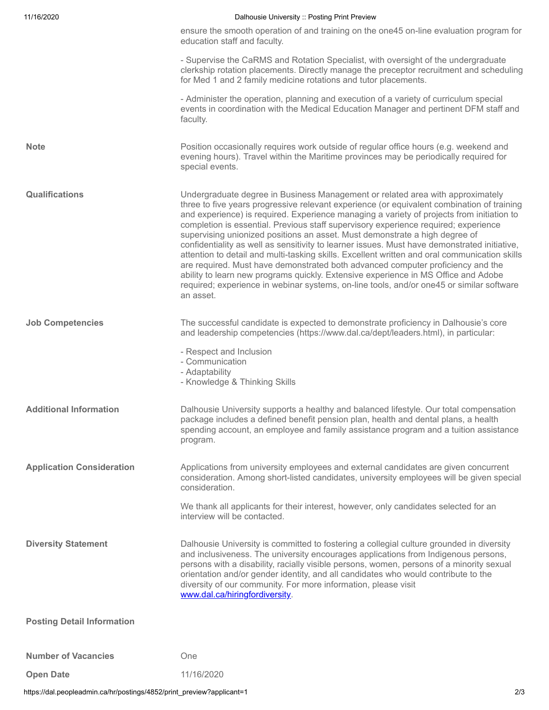| 11/16/2020                        | Dalhousie University :: Posting Print Preview                                                                                                                                                                                                                                                                                                                                                                                                                                                                                                                                                                                                                                                                                                                                                                                                                                                                                      |
|-----------------------------------|------------------------------------------------------------------------------------------------------------------------------------------------------------------------------------------------------------------------------------------------------------------------------------------------------------------------------------------------------------------------------------------------------------------------------------------------------------------------------------------------------------------------------------------------------------------------------------------------------------------------------------------------------------------------------------------------------------------------------------------------------------------------------------------------------------------------------------------------------------------------------------------------------------------------------------|
|                                   | ensure the smooth operation of and training on the one45 on-line evaluation program for<br>education staff and faculty.                                                                                                                                                                                                                                                                                                                                                                                                                                                                                                                                                                                                                                                                                                                                                                                                            |
|                                   | - Supervise the CaRMS and Rotation Specialist, with oversight of the undergraduate<br>clerkship rotation placements. Directly manage the preceptor recruitment and scheduling<br>for Med 1 and 2 family medicine rotations and tutor placements.                                                                                                                                                                                                                                                                                                                                                                                                                                                                                                                                                                                                                                                                                   |
|                                   | - Administer the operation, planning and execution of a variety of curriculum special<br>events in coordination with the Medical Education Manager and pertinent DFM staff and<br>faculty.                                                                                                                                                                                                                                                                                                                                                                                                                                                                                                                                                                                                                                                                                                                                         |
| <b>Note</b>                       | Position occasionally requires work outside of regular office hours (e.g. weekend and<br>evening hours). Travel within the Maritime provinces may be periodically required for<br>special events.                                                                                                                                                                                                                                                                                                                                                                                                                                                                                                                                                                                                                                                                                                                                  |
| <b>Qualifications</b>             | Undergraduate degree in Business Management or related area with approximately<br>three to five years progressive relevant experience (or equivalent combination of training<br>and experience) is required. Experience managing a variety of projects from initiation to<br>completion is essential. Previous staff supervisory experience required; experience<br>supervising unionized positions an asset. Must demonstrate a high degree of<br>confidentiality as well as sensitivity to learner issues. Must have demonstrated initiative,<br>attention to detail and multi-tasking skills. Excellent written and oral communication skills<br>are required. Must have demonstrated both advanced computer proficiency and the<br>ability to learn new programs quickly. Extensive experience in MS Office and Adobe<br>required; experience in webinar systems, on-line tools, and/or one45 or similar software<br>an asset. |
| <b>Job Competencies</b>           | The successful candidate is expected to demonstrate proficiency in Dalhousie's core<br>and leadership competencies (https://www.dal.ca/dept/leaders.html), in particular:                                                                                                                                                                                                                                                                                                                                                                                                                                                                                                                                                                                                                                                                                                                                                          |
|                                   | - Respect and Inclusion<br>- Communication<br>- Adaptability<br>- Knowledge & Thinking Skills                                                                                                                                                                                                                                                                                                                                                                                                                                                                                                                                                                                                                                                                                                                                                                                                                                      |
| <b>Additional Information</b>     | Dalhousie University supports a healthy and balanced lifestyle. Our total compensation<br>package includes a defined benefit pension plan, health and dental plans, a health<br>spending account, an employee and family assistance program and a tuition assistance<br>program.                                                                                                                                                                                                                                                                                                                                                                                                                                                                                                                                                                                                                                                   |
| <b>Application Consideration</b>  | Applications from university employees and external candidates are given concurrent<br>consideration. Among short-listed candidates, university employees will be given special<br>consideration.                                                                                                                                                                                                                                                                                                                                                                                                                                                                                                                                                                                                                                                                                                                                  |
|                                   | We thank all applicants for their interest, however, only candidates selected for an<br>interview will be contacted.                                                                                                                                                                                                                                                                                                                                                                                                                                                                                                                                                                                                                                                                                                                                                                                                               |
| <b>Diversity Statement</b>        | Dalhousie University is committed to fostering a collegial culture grounded in diversity<br>and inclusiveness. The university encourages applications from Indigenous persons,<br>persons with a disability, racially visible persons, women, persons of a minority sexual<br>orientation and/or gender identity, and all candidates who would contribute to the<br>diversity of our community. For more information, please visit<br>www.dal.ca/hiringfordiversity.                                                                                                                                                                                                                                                                                                                                                                                                                                                               |
| <b>Posting Detail Information</b> |                                                                                                                                                                                                                                                                                                                                                                                                                                                                                                                                                                                                                                                                                                                                                                                                                                                                                                                                    |
| <b>Number of Vacancies</b>        | One                                                                                                                                                                                                                                                                                                                                                                                                                                                                                                                                                                                                                                                                                                                                                                                                                                                                                                                                |
| <b>Open Date</b>                  | 11/16/2020                                                                                                                                                                                                                                                                                                                                                                                                                                                                                                                                                                                                                                                                                                                                                                                                                                                                                                                         |